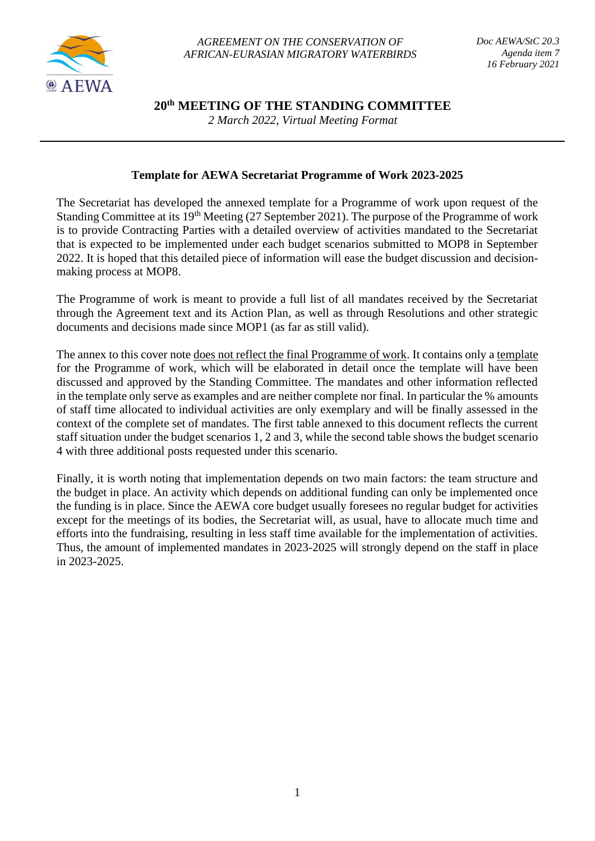

*AGREEMENT ON THE CONSERVATION OF AFRICAN-EURASIAN MIGRATORY WATERBIRDS*

**20th MEETING OF THE STANDING COMMITTEE**

*2 March 2022, Virtual Meeting Format*

## **Template for AEWA Secretariat Programme of Work 2023-2025**

The Secretariat has developed the annexed template for a Programme of work upon request of the Standing Committee at its 19th Meeting (27 September 2021). The purpose of the Programme of work is to provide Contracting Parties with a detailed overview of activities mandated to the Secretariat that is expected to be implemented under each budget scenarios submitted to MOP8 in September 2022. It is hoped that this detailed piece of information will ease the budget discussion and decisionmaking process at MOP8.

The Programme of work is meant to provide a full list of all mandates received by the Secretariat through the Agreement text and its Action Plan, as well as through Resolutions and other strategic documents and decisions made since MOP1 (as far as still valid).

The annex to this cover note <u>does not reflect the final Programme of work</u>. It contains only a template for the Programme of work, which will be elaborated in detail once the template will have been discussed and approved by the Standing Committee. The mandates and other information reflected in the template only serve as examples and are neither complete nor final. In particular the % amounts of staff time allocated to individual activities are only exemplary and will be finally assessed in the context of the complete set of mandates. The first table annexed to this document reflects the current staff situation under the budget scenarios 1, 2 and 3, while the second table shows the budget scenario 4 with three additional posts requested under this scenario.

Finally, it is worth noting that implementation depends on two main factors: the team structure and the budget in place. An activity which depends on additional funding can only be implemented once the funding is in place. Since the AEWA core budget usually foresees no regular budget for activities except for the meetings of its bodies, the Secretariat will, as usual, have to allocate much time and efforts into the fundraising, resulting in less staff time available for the implementation of activities. Thus, the amount of implemented mandates in 2023-2025 will strongly depend on the staff in place in 2023-2025.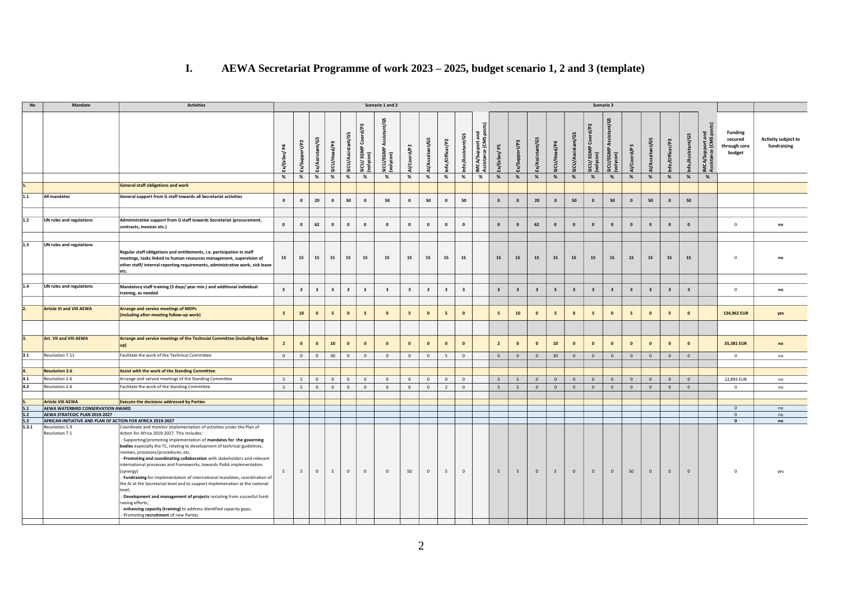## **I. AEWA Secretariat Programme of work 2023 – 2025, budget scenario 1, 2 and 3 (template)**

| <b>No</b> | Mandate                                                    | <b>Activities</b>                                                                                                                                                                                                                                                                                                                                                                                                                                                                                                                                                                                                                                                                                                                                                                                                                                             |                                  |                         |                         |                         |                           |                                              | Scenario 1 and 2                            |                         |                         |                         |                           |                                                           |                         |                         |                         |                         |                         |                                         | Scenario 3                            |                         |                         |                         |                           |                                              |                                                     |                                    |
|-----------|------------------------------------------------------------|---------------------------------------------------------------------------------------------------------------------------------------------------------------------------------------------------------------------------------------------------------------------------------------------------------------------------------------------------------------------------------------------------------------------------------------------------------------------------------------------------------------------------------------------------------------------------------------------------------------------------------------------------------------------------------------------------------------------------------------------------------------------------------------------------------------------------------------------------------------|----------------------------------|-------------------------|-------------------------|-------------------------|---------------------------|----------------------------------------------|---------------------------------------------|-------------------------|-------------------------|-------------------------|---------------------------|-----------------------------------------------------------|-------------------------|-------------------------|-------------------------|-------------------------|-------------------------|-----------------------------------------|---------------------------------------|-------------------------|-------------------------|-------------------------|---------------------------|----------------------------------------------|-----------------------------------------------------|------------------------------------|
|           |                                                            |                                                                                                                                                                                                                                                                                                                                                                                                                                                                                                                                                                                                                                                                                                                                                                                                                                                               | $\overline{a}$<br>Ex/ExSec/<br>% | Ex/Support/P2<br>$\%$   | Ex/Assistant/G5<br>$\%$ | SICU/Head/P3<br>$\%$    | SICU/Assistant/G5<br>$\%$ | Coord/P2<br>SICU/EGMP (<br>(volycon)<br>$\%$ | ଞ୍<br>Ĕ<br>Š<br>SICU/EGMP<br>(volycon)<br>% | 1/Coord/P2<br>%         | Al/Asssitant/G5<br>$\%$ | Info/Officer/P2<br>$\%$ | Info/Assistant/G5<br>$\%$ | ្ទ<br>portan<br>(CMS p<br>IMCA/Supp<br>Assistance<br>$\%$ | 요<br>Ex/ExSec/<br>$\%$  | Ex/Support/P3<br>%      | Ex/Assistant/G5<br>%    | SICU/Head/P4<br>%       | SICU/Assistant/<br>$\%$ | 4/P <sub>2</sub><br>చ<br>SICU/EGMP<br>% | tant/G5<br>Assis<br>SICU/EGMP<br>$\%$ | Al/Coord/P3<br>$\%$     | Al/Asssitant/G5<br>%    | Ë.<br>Info/Office<br>%  | Info/Assistant/G5<br>$\%$ | IMCA/Support and<br>Assistance (CMS pos<br>% | <b>Funding</b><br>secured<br>through core<br>budget | Activity subject to<br>fundraising |
| 1.        |                                                            | <b>General staff obligations and work</b>                                                                                                                                                                                                                                                                                                                                                                                                                                                                                                                                                                                                                                                                                                                                                                                                                     |                                  |                         |                         |                         |                           |                                              |                                             |                         |                         |                         |                           |                                                           |                         |                         |                         |                         |                         |                                         |                                       |                         |                         |                         |                           |                                              |                                                     |                                    |
| 1.1       | All mandates                                               | General support from G staff towards all Secretariat activities                                                                                                                                                                                                                                                                                                                                                                                                                                                                                                                                                                                                                                                                                                                                                                                               | $\mathbf 0$                      | $\mathbf{0}$            | 20                      | $\mathbf 0$             | 50                        | $\mathbf 0$                                  | 50                                          | $\mathbf{0}$            | 50                      | $\mathbf{0}$            | 50                        |                                                           | $\mathbf{0}$            | $\mathbf{0}$            | 20                      | $\mathbf{0}$            | 50                      | $\mathbf{0}$                            | 50                                    | $\mathbf 0$             | 50                      | $\mathbf{0}$            | 50                        |                                              |                                                     |                                    |
|           |                                                            |                                                                                                                                                                                                                                                                                                                                                                                                                                                                                                                                                                                                                                                                                                                                                                                                                                                               |                                  |                         |                         |                         |                           |                                              |                                             |                         |                         |                         |                           |                                                           |                         |                         |                         |                         |                         |                                         |                                       |                         |                         |                         |                           |                                              |                                                     |                                    |
| 1.2       | UN rules and regulations                                   | Administrative support from G staff towards Secretariat (procurement,<br>contracts, invoices etc.)                                                                                                                                                                                                                                                                                                                                                                                                                                                                                                                                                                                                                                                                                                                                                            | $\mathbf{0}$                     | $\mathbf{0}$            | 62                      | $\mathbf{0}$            | $\mathbf{0}$              | $\mathbf{0}$                                 | $\mathbf{0}$                                | $\mathbf{0}$            | $\mathbf{0}$            | $\mathbf{0}$            | $\mathbf{0}$              |                                                           | $\mathbf{0}$            | $\mathbf{0}$            | 62                      | $\overline{\mathbf{0}}$ | $\mathbf{0}$            | $\mathbf{0}$                            | $\mathbf{0}$                          | $\mathbf{0}$            | $\mathbf{0}$            | $\mathbf{0}$            | $\mathbf{0}$              |                                              | $^{\circ}$                                          | no                                 |
| 1.3       | UN rules and regulations                                   | Regular staff obligations and entitlements, i.e. participation in staff<br>meetings, tasks linked to human resources management, supervision of<br>other staff/internal reporting requirements, administrative work, sick leave<br>etc.                                                                                                                                                                                                                                                                                                                                                                                                                                                                                                                                                                                                                       | 15                               | 15                      | 15                      | 15                      | 15                        | 15                                           | 15                                          | 15                      | 15                      | 15                      | 15                        |                                                           | 15                      | 15                      | 15                      | 15                      | 15                      | 15                                      | 15                                    | 15                      | 15                      | 15                      | 15                        |                                              | $\Omega$                                            | no                                 |
| 1.4       | UN rules and regulations                                   | Mandatory staff training (5 days/year min.) and additional individual<br>training, as needed                                                                                                                                                                                                                                                                                                                                                                                                                                                                                                                                                                                                                                                                                                                                                                  | $\overline{\mathbf{3}}$          | $\overline{\mathbf{3}}$ | $\overline{\mathbf{3}}$ | $\overline{\mathbf{3}}$ | $\overline{\mathbf{3}}$   | $\overline{\mathbf{3}}$                      | $\overline{\mathbf{3}}$                     | $\overline{\mathbf{3}}$ | $\overline{\mathbf{3}}$ | $\overline{\mathbf{3}}$ | $\overline{\mathbf{3}}$   |                                                           | $\overline{\mathbf{3}}$ | $\overline{\mathbf{3}}$ | $\overline{\mathbf{3}}$ | $\overline{\mathbf{3}}$ | $\overline{\mathbf{3}}$ | $\overline{\mathbf{3}}$                 | $\overline{\mathbf{3}}$               | $\overline{\mathbf{3}}$ | $\overline{\mathbf{3}}$ | $\overline{\mathbf{3}}$ | $\overline{\mathbf{3}}$   |                                              | $^{\circ}$                                          | no                                 |
|           |                                                            |                                                                                                                                                                                                                                                                                                                                                                                                                                                                                                                                                                                                                                                                                                                                                                                                                                                               |                                  |                         |                         |                         |                           |                                              |                                             |                         |                         |                         |                           |                                                           |                         |                         |                         |                         |                         |                                         |                                       |                         |                         |                         |                           |                                              |                                                     |                                    |
|           | <b>Article VI and VIII AEWA</b>                            | <b>Arrange and service meetings of MOPs</b><br>(including after-meeting follow-up work)                                                                                                                                                                                                                                                                                                                                                                                                                                                                                                                                                                                                                                                                                                                                                                       | $5\overline{5}$                  | 10                      | $\mathbf{0}$            | 5 <sup>5</sup>          | $\mathbf{0}$              | 5 <sub>5</sub>                               | $\mathbf{0}$                                | 5                       | $\mathbf{0}$            | 5                       | $\mathbf{o}$              |                                                           | 5                       | 10                      | $\bullet$               | $5\overline{5}$         | $\overline{\mathbf{0}}$ | 5                                       | $\mathbf{0}$                          | 5                       | $\mathbf{o}$            | 5                       | $\mathbf{0}$              |                                              | 134,962 EUR                                         | yes                                |
|           |                                                            |                                                                                                                                                                                                                                                                                                                                                                                                                                                                                                                                                                                                                                                                                                                                                                                                                                                               |                                  |                         |                         |                         |                           |                                              |                                             |                         |                         |                         |                           |                                                           |                         |                         |                         |                         |                         |                                         |                                       |                         |                         |                         |                           |                                              |                                                     |                                    |
|           | Art. VII and VIII AEWA                                     | Arrange and service meetings of the Techncial Committee (including follow                                                                                                                                                                                                                                                                                                                                                                                                                                                                                                                                                                                                                                                                                                                                                                                     | $\overline{2}$                   | $\mathbf{0}$            | $\mathbf 0$             | ${\bf 10}$              | $\mathbf{0}$              | $\mathbf 0$                                  | $\mathbf{0}$                                | $\mathbf{0}$            | $\mathbf{o}$            | $\mathbf{0}$            | $\mathbf{0}$              |                                                           | $\overline{\mathbf{2}}$ | $\mathbf 0$             | $\pmb{\mathsf{o}}$      | ${\bf 10}$              | $\mathbf{o}$            | $\mathbf 0$                             | $\mathbf 0$                           | $\mathbf{o}$            | $\bullet$               | $\mathbf{0}$            | $\mathbf 0$               |                                              | 35,381 EUR                                          | no                                 |
| 3.1       | Resolution 7.11                                            | Facilitate the work of the Technical Committee                                                                                                                                                                                                                                                                                                                                                                                                                                                                                                                                                                                                                                                                                                                                                                                                                | $\overline{0}$                   | $\mathbf{0}$            | $\circ$                 | 30                      | $\circ$                   | $\circ$                                      | $\overline{0}$                              | $\mathbf{0}$            | $\circ$                 | 5                       | $\mathbf{0}$              |                                                           | $\overline{0}$          | $\mathbf{0}$            | $\overline{0}$          | 30                      | $\overline{0}$          | $\overline{0}$                          | $\overline{0}$                        | $\overline{0}$          | $\overline{0}$          | $\overline{0}$          | $\overline{0}$            |                                              | $\mathbf{0}$                                        | no                                 |
| 4.        | <b>Resolution 2.6</b>                                      | Assist with the work of the Standing Committee                                                                                                                                                                                                                                                                                                                                                                                                                                                                                                                                                                                                                                                                                                                                                                                                                |                                  |                         |                         |                         |                           |                                              |                                             |                         |                         |                         |                           |                                                           |                         |                         |                         |                         |                         |                                         |                                       |                         |                         |                         |                           |                                              |                                                     |                                    |
| 4.1       | Resolution 2.6                                             | Arrange and service meetings of the Standing Committee                                                                                                                                                                                                                                                                                                                                                                                                                                                                                                                                                                                                                                                                                                                                                                                                        | 5                                | $5\overline{ }$         | $\mathsf 0$             | $\mathsf 0$             | $\mathbf 0$               | $\mathbf 0$                                  | $\overline{\mathbf{0}}$                     | $\mathbf 0$             | $\mathbf 0$             | $\mathbb O$             | $\mathbb O$               |                                                           | 5                       | $\overline{5}$          | $\mathbf 0$             | $\mathbf 0$             | $\,$ 0 $\,$             | $\mathbb O$                             | $\mathbb O$                           | $\mathbb O$             | $\circ$                 | $\mathbf 0$             | $\mathbb O$               |                                              | 22,893 EUR                                          | no                                 |
| 4.2       | Resolution 2.6                                             | Facilitate the work of the Standing Committee                                                                                                                                                                                                                                                                                                                                                                                                                                                                                                                                                                                                                                                                                                                                                                                                                 | 5                                | 5                       | $\mathbf{0}$            | $\circ$                 | $\mathsf 0$               | $\overline{0}$                               | $\overline{0}$                              | $\mathbf{0}$            | $\circ$                 | $\overline{2}$          | $\mathbf{0}$              |                                                           | 5 <sup>5</sup>          | $5\overline{5}$         | $\overline{0}$          | $\overline{0}$          | $\overline{0}$          | $\overline{0}$                          | $\overline{0}$                        | $\overline{0}$          | $\overline{0}$          | $\overline{0}$          | $\overline{0}$            |                                              | $\overline{0}$                                      | no                                 |
|           | <b>Article VIII AEWA</b>                                   | <b>Execute the decisions addressed by Parties</b>                                                                                                                                                                                                                                                                                                                                                                                                                                                                                                                                                                                                                                                                                                                                                                                                             |                                  |                         |                         |                         |                           |                                              |                                             |                         |                         |                         |                           |                                                           |                         |                         |                         |                         |                         |                                         |                                       |                         |                         |                         |                           |                                              |                                                     |                                    |
| 5.1       | AEWA WATERBIRD CONSERVATION AWARD                          |                                                                                                                                                                                                                                                                                                                                                                                                                                                                                                                                                                                                                                                                                                                                                                                                                                                               |                                  |                         |                         |                         |                           |                                              |                                             |                         |                         |                         |                           |                                                           |                         |                         |                         |                         |                         |                                         |                                       |                         |                         |                         |                           |                                              | $\overline{0}$                                      | no                                 |
| 5.2       | AEWA STRATEGIC PLAN 2019-2027                              |                                                                                                                                                                                                                                                                                                                                                                                                                                                                                                                                                                                                                                                                                                                                                                                                                                                               |                                  |                         |                         |                         |                           |                                              |                                             |                         |                         |                         |                           |                                                           |                         |                         |                         |                         |                         |                                         |                                       |                         |                         |                         |                           |                                              | $\circ$                                             | no                                 |
| 5.3       | AFRICAN INITIATIVE AND PLAN OF ACTION FOR AFRICA 2019-2027 |                                                                                                                                                                                                                                                                                                                                                                                                                                                                                                                                                                                                                                                                                                                                                                                                                                                               |                                  |                         |                         |                         |                           |                                              |                                             |                         |                         |                         |                           |                                                           |                         |                         |                         |                         |                         |                                         |                                       |                         |                         |                         |                           |                                              | $\mathbf{0}$                                        | no                                 |
| 5.3.1     | Resolution 5.9<br>Resolution 7.1                           | Coordinate and monitor implementation of activities under the Plan of<br>Action for Africa 2019-2027. This includes:<br>Supporting/promoting implementation of mandates for the governing<br>bodies especially the TC, relating to development of technical guidelines,<br>reviews, processes/procedures, etc.<br>Promoting and coordinating collaboration with stakeholders and relevant<br>nternational processes and frameworks, towards PoAA implementation<br>synergy)<br>- Fundraising for implementation of international mandates, coordination of<br>the AI at the Secretariat level and to support implemenation at the national<br>evel;<br>Development and management of projects resluting from succesful fund-<br>aising efforts;<br>enhancing capacity (training) to address identified capacity gaps;<br>Promoting recruitment of new Parties | 5                                | 5                       | $\circ$                 | 5                       | $\overline{0}$            | $\mathbf{0}$                                 | $\overline{0}$                              | 50                      | $\circ$                 | 5                       | $\circ$                   |                                                           | 5                       | 5                       | $\overline{0}$          | 5 <sub>5</sub>          | $\mathbf{0}$            | $\mathbf{0}$                            | $\mathbf{0}$                          | 50                      | $\overline{0}$          | $\mathbf{0}$            | $\overline{0}$            |                                              | $^{\circ}$                                          | yes                                |
|           |                                                            |                                                                                                                                                                                                                                                                                                                                                                                                                                                                                                                                                                                                                                                                                                                                                                                                                                                               |                                  |                         |                         |                         |                           |                                              |                                             |                         |                         |                         |                           |                                                           |                         |                         |                         |                         |                         |                                         |                                       |                         |                         |                         |                           |                                              |                                                     |                                    |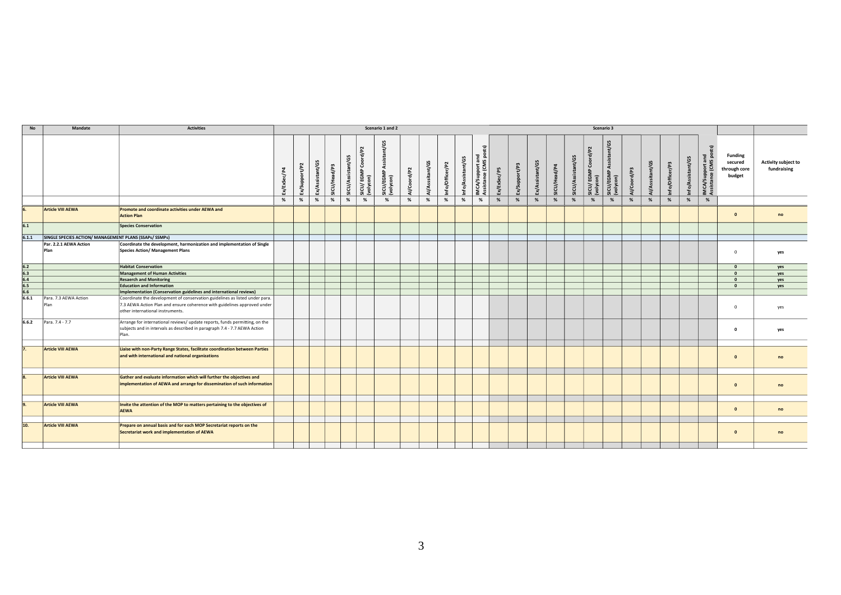| No                                                          | Mandate                                                | <b>Activities</b>                                                                                                                                                                           |   |               |                 |              |                  |                                    | Scenario 1 and 2                         |             |                 |                 |                   |                                            |                 |               |                 |            |                  |                                | Scenario 3                                   |             |                 |                |                        |                                          |                                                     |                                    |
|-------------------------------------------------------------|--------------------------------------------------------|---------------------------------------------------------------------------------------------------------------------------------------------------------------------------------------------|---|---------------|-----------------|--------------|------------------|------------------------------------|------------------------------------------|-------------|-----------------|-----------------|-------------------|--------------------------------------------|-----------------|---------------|-----------------|------------|------------------|--------------------------------|----------------------------------------------|-------------|-----------------|----------------|------------------------|------------------------------------------|-----------------------------------------------------|------------------------------------|
|                                                             |                                                        |                                                                                                                                                                                             | 봆 | Ex/Support/P2 | Ex/Assistant/G5 | SICU/Head/P3 | ICU/Assistant/G5 | Coord/P2<br>SICU/EGMP<br>(volycon) | nt/G5<br>SICU/EGMP Assistar<br>(volycon) | Al/Coord/P2 | Al/Asssitant/G5 | Info/Officer/P2 | Info/Assistant/G5 | IMCA/Support and<br>Assistance (CMS posts) | F5<br>Ex/ExSec/ | Ex/Support/P3 | Ex/Assistant/G5 | CU/Head/P4 | ICU/Assistant/G5 | ICU/ EGMP Coord/P2<br>/olycon) | nt/G5<br> <br> SICU/EGMP Assista<br> volycon | Al/Coord/P3 | Al/Asssitant/G5 | nfo/Officer/P3 | tant/G5<br>Info/Assist | IMCA/Support and<br>Assistance (CMS post | <b>Funding</b><br>secured<br>through core<br>budget | Activity subject to<br>fundraising |
|                                                             |                                                        |                                                                                                                                                                                             | % | %             | %               | %            | %                | %                                  | %                                        | %           | %               | %               | %                 | %                                          | %               | %             | %               | %          | %                | %                              | %                                            | %           | %               | %              | %                      | %                                        |                                                     |                                    |
|                                                             | <b>Article VIII AEWA</b>                               | Promote and coordinate activities under AEWA and<br><b>Action Plan</b>                                                                                                                      |   |               |                 |              |                  |                                    |                                          |             |                 |                 |                   |                                            |                 |               |                 |            |                  |                                |                                              |             |                 |                |                        |                                          | $\mathbf{0}$                                        | no                                 |
| 6.1                                                         |                                                        | <b>Species Conservation</b>                                                                                                                                                                 |   |               |                 |              |                  |                                    |                                          |             |                 |                 |                   |                                            |                 |               |                 |            |                  |                                |                                              |             |                 |                |                        |                                          |                                                     |                                    |
| 6.1.1                                                       | SINGLE SPECIES ACTION/ MANAGEMENT PLANS (SSAPs/ SSMPs) |                                                                                                                                                                                             |   |               |                 |              |                  |                                    |                                          |             |                 |                 |                   |                                            |                 |               |                 |            |                  |                                |                                              |             |                 |                |                        |                                          |                                                     |                                    |
|                                                             | Par. 2.2.1 AEWA Action<br>Plan                         | Coordinate the development, harmonization and implementation of Single<br><b>Species Action/ Management Plans</b>                                                                           |   |               |                 |              |                  |                                    |                                          |             |                 |                 |                   |                                            |                 |               |                 |            |                  |                                |                                              |             |                 |                |                        |                                          | $\Omega$                                            | yes                                |
|                                                             |                                                        | <b>Habitat Conservation</b>                                                                                                                                                                 |   |               |                 |              |                  |                                    |                                          |             |                 |                 |                   |                                            |                 |               |                 |            |                  |                                |                                              |             |                 |                |                        |                                          | $\mathbf{0}$                                        | yes                                |
| $\frac{6.2}{6.3}$<br>$\frac{6.4}{6.5}$<br>$\frac{6.5}{6.6}$ |                                                        | <b>Management of Human Activities</b>                                                                                                                                                       |   |               |                 |              |                  |                                    |                                          |             |                 |                 |                   |                                            |                 |               |                 |            |                  |                                |                                              |             |                 |                |                        |                                          | $\Omega$                                            | yes                                |
|                                                             |                                                        | <b>Resaerch and Monitoring</b>                                                                                                                                                              |   |               |                 |              |                  |                                    |                                          |             |                 |                 |                   |                                            |                 |               |                 |            |                  |                                |                                              |             |                 |                |                        |                                          | $\mathbf{0}$                                        | yes                                |
|                                                             |                                                        | <b>Education and Information</b>                                                                                                                                                            |   |               |                 |              |                  |                                    |                                          |             |                 |                 |                   |                                            |                 |               |                 |            |                  |                                |                                              |             |                 |                |                        |                                          | $\Omega$                                            | yes                                |
|                                                             |                                                        | Implementation (Conservation guidelines and international reviews)                                                                                                                          |   |               |                 |              |                  |                                    |                                          |             |                 |                 |                   |                                            |                 |               |                 |            |                  |                                |                                              |             |                 |                |                        |                                          |                                                     |                                    |
| 6.6.1                                                       | Para. 7.3 AEWA Action<br>Plan                          | Coordinate the development of conservation guidelines as listed under para.<br>7.3 AEWA Action Plan and ensure coherence with guidelines approved under<br>other international instruments. |   |               |                 |              |                  |                                    |                                          |             |                 |                 |                   |                                            |                 |               |                 |            |                  |                                |                                              |             |                 |                |                        |                                          | $\mathbf 0$                                         | yes                                |
| 6.6.2                                                       | Para. 7.4 - 7.7                                        | Arrange for international reviews/ update reports, funds permitting, on the<br>subjects and in intervals as described in paragraph 7.4 - 7.7 AEWA Action<br>Plan.                           |   |               |                 |              |                  |                                    |                                          |             |                 |                 |                   |                                            |                 |               |                 |            |                  |                                |                                              |             |                 |                |                        |                                          | $\mathbf 0$                                         | yes                                |
| 7.                                                          | <b>Article VIII AEWA</b>                               | Liaise with non-Party Range States, facilitate coordination between Parties<br>and with international and national organizations                                                            |   |               |                 |              |                  |                                    |                                          |             |                 |                 |                   |                                            |                 |               |                 |            |                  |                                |                                              |             |                 |                |                        |                                          | $\mathbf{0}$                                        | no                                 |
|                                                             |                                                        |                                                                                                                                                                                             |   |               |                 |              |                  |                                    |                                          |             |                 |                 |                   |                                            |                 |               |                 |            |                  |                                |                                              |             |                 |                |                        |                                          |                                                     |                                    |
|                                                             | <b>Article VIII AEWA</b>                               | Gather and evaluate information which will further the objectives and<br>implementation of AEWA and arrange for dissemination of such information                                           |   |               |                 |              |                  |                                    |                                          |             |                 |                 |                   |                                            |                 |               |                 |            |                  |                                |                                              |             |                 |                |                        |                                          | $\mathbf{0}$                                        | no                                 |
|                                                             |                                                        |                                                                                                                                                                                             |   |               |                 |              |                  |                                    |                                          |             |                 |                 |                   |                                            |                 |               |                 |            |                  |                                |                                              |             |                 |                |                        |                                          |                                                     |                                    |
|                                                             | Article VIII AEWA                                      | Invite the attention of the MOP to matters pertaining to the objectives of<br><b>AEWA</b>                                                                                                   |   |               |                 |              |                  |                                    |                                          |             |                 |                 |                   |                                            |                 |               |                 |            |                  |                                |                                              |             |                 |                |                        |                                          | $\mathbf{0}$                                        | no                                 |
|                                                             |                                                        |                                                                                                                                                                                             |   |               |                 |              |                  |                                    |                                          |             |                 |                 |                   |                                            |                 |               |                 |            |                  |                                |                                              |             |                 |                |                        |                                          |                                                     |                                    |
| 10.                                                         | <b>Article VIII AEWA</b>                               | Prepare on annual basis and for each MOP Secretariat reports on the<br>Secretariat work and implementation of AEWA                                                                          |   |               |                 |              |                  |                                    |                                          |             |                 |                 |                   |                                            |                 |               |                 |            |                  |                                |                                              |             |                 |                |                        |                                          | $\mathbf{0}$                                        | no                                 |
|                                                             |                                                        |                                                                                                                                                                                             |   |               |                 |              |                  |                                    |                                          |             |                 |                 |                   |                                            |                 |               |                 |            |                  |                                |                                              |             |                 |                |                        |                                          |                                                     |                                    |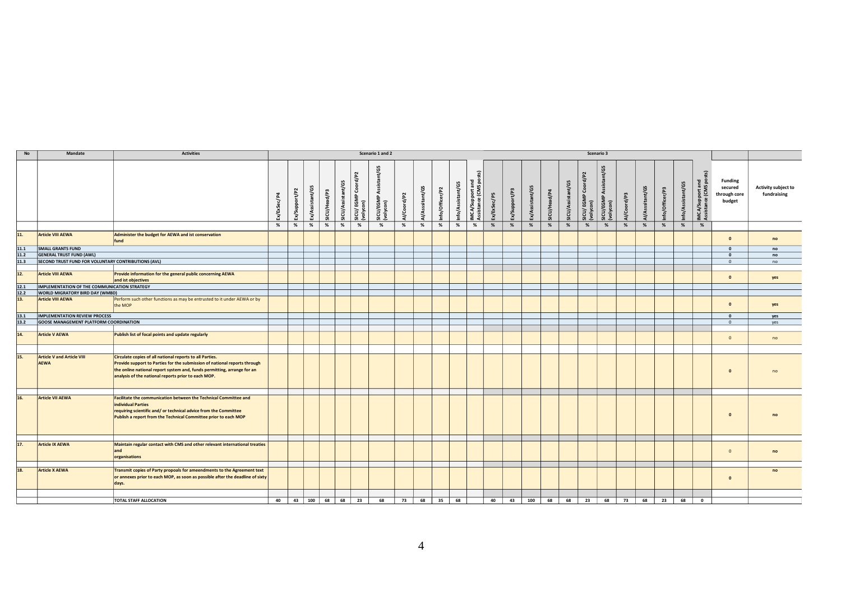| No                | Mandate                                             | <b>Activities</b>                                                                                                                                                                                                                                                       |                |               |                 |              |                   |                                     | Scenario 1 and 2          |             |                 |                 |                   |                                              |                 |               |                 |                    |                   |                                                    | Scenario 3                          |                      |                       |                 |                   |                                         |                                                     |                                           |
|-------------------|-----------------------------------------------------|-------------------------------------------------------------------------------------------------------------------------------------------------------------------------------------------------------------------------------------------------------------------------|----------------|---------------|-----------------|--------------|-------------------|-------------------------------------|---------------------------|-------------|-----------------|-----------------|-------------------|----------------------------------------------|-----------------|---------------|-----------------|--------------------|-------------------|----------------------------------------------------|-------------------------------------|----------------------|-----------------------|-----------------|-------------------|-----------------------------------------|-----------------------------------------------------|-------------------------------------------|
|                   |                                                     |                                                                                                                                                                                                                                                                         | 로<br>Ex/ExSec/ | Ex/Support/P2 | Ex/Assistant/G5 | SICU/Head/P3 | SICU/Assistant/G5 | rd/P2<br>Š<br>SICL/EGN<br>(volycon) | შ<br>Assista<br>SICL/EGMP | Al/Coord/P2 | Al/Asssitant/G5 | Info/Officer/P2 | Info/Assistant/G5 | upport and<br>nce (CMS posts)<br>Assist<br>∢ | F5<br>Ex/ExSec/ | Ex/Support/P3 | Ex/Assistant/G5 | $d$ /P4<br>SICU/He | G<br>SICU/Assista | d/P <sub>2</sub><br>Š<br>SICLY EGMP (<br>(volycon) | sistant/G5<br>SICL/EGM<br>(volycon) | d/P3<br><b>Al/Co</b> | nt/G5<br><b>Al/As</b> | Info/Officer/P3 | Info/Assistant/G5 | IMCA/Support and<br>Assistance (CMS pos | <b>Funding</b><br>secured<br>through core<br>budget | <b>Activity subject to</b><br>fundraising |
|                   |                                                     |                                                                                                                                                                                                                                                                         | %              | %             | %               | %            | %                 | %                                   | %                         | $\%$        | $\%$            | %               | %                 | %                                            | %               | %             | %               | %                  | %                 | %                                                  | %                                   | %                    | %                     | $\%$            | %                 | %                                       |                                                     |                                           |
| 11.               | <b>Article VIII AEWA</b>                            | Administer the budget for AEWA and ist conservation<br>fund                                                                                                                                                                                                             |                |               |                 |              |                   |                                     |                           |             |                 |                 |                   |                                              |                 |               |                 |                    |                   |                                                    |                                     |                      |                       |                 |                   |                                         | $\mathbf{0}$                                        | no                                        |
| 11.1              | <b>SMALL GRANTS FUND</b>                            |                                                                                                                                                                                                                                                                         |                |               |                 |              |                   |                                     |                           |             |                 |                 |                   |                                              |                 |               |                 |                    |                   |                                                    |                                     |                      |                       |                 |                   |                                         | $\Omega$                                            | no                                        |
| 11.2              | <b>GENERAL TRUST FUND (AWL)</b>                     |                                                                                                                                                                                                                                                                         |                |               |                 |              |                   |                                     |                           |             |                 |                 |                   |                                              |                 |               |                 |                    |                   |                                                    |                                     |                      |                       |                 |                   |                                         | $\Omega$                                            | no                                        |
| 11.3              | SECOND TRUST FUND FOR VOLUNTARY CONTRIBUTIONS (AVL) |                                                                                                                                                                                                                                                                         |                |               |                 |              |                   |                                     |                           |             |                 |                 |                   |                                              |                 |               |                 |                    |                   |                                                    |                                     |                      |                       |                 |                   |                                         | $\mathbf{0}$                                        | no                                        |
|                   |                                                     |                                                                                                                                                                                                                                                                         |                |               |                 |              |                   |                                     |                           |             |                 |                 |                   |                                              |                 |               |                 |                    |                   |                                                    |                                     |                      |                       |                 |                   |                                         |                                                     |                                           |
| $\overline{12}$ . | <b>Article VIII AEWA</b>                            | Provide information for the general public concerning AEWA<br>and ist objectives                                                                                                                                                                                        |                |               |                 |              |                   |                                     |                           |             |                 |                 |                   |                                              |                 |               |                 |                    |                   |                                                    |                                     |                      |                       |                 |                   |                                         | $\Omega$                                            | yes                                       |
| 12.1              | IMPLEMENTATION OF THE COMMUNICATION STRATEGY        |                                                                                                                                                                                                                                                                         |                |               |                 |              |                   |                                     |                           |             |                 |                 |                   |                                              |                 |               |                 |                    |                   |                                                    |                                     |                      |                       |                 |                   |                                         |                                                     |                                           |
| 12.2              | WORLD MIGRATORY BIRD DAY (WMBD)                     |                                                                                                                                                                                                                                                                         |                |               |                 |              |                   |                                     |                           |             |                 |                 |                   |                                              |                 |               |                 |                    |                   |                                                    |                                     |                      |                       |                 |                   |                                         |                                                     |                                           |
| 13.               | <b>Article VIII AEWA</b>                            | Perform such other functions as may be entrusted to it under AEWA or by<br>the MOP                                                                                                                                                                                      |                |               |                 |              |                   |                                     |                           |             |                 |                 |                   |                                              |                 |               |                 |                    |                   |                                                    |                                     |                      |                       |                 |                   |                                         | $\Omega$                                            | yes                                       |
| 13.1              | <b>IMPLEMENTATION REVIEW PROCESS</b>                |                                                                                                                                                                                                                                                                         |                |               |                 |              |                   |                                     |                           |             |                 |                 |                   |                                              |                 |               |                 |                    |                   |                                                    |                                     |                      |                       |                 |                   |                                         | $\mathbf{0}$                                        | yes                                       |
| 13.2              | GOOSE MANAGEMENT PLATFORM COORDINATION              |                                                                                                                                                                                                                                                                         |                |               |                 |              |                   |                                     |                           |             |                 |                 |                   |                                              |                 |               |                 |                    |                   |                                                    |                                     |                      |                       |                 |                   |                                         | $\mathbf{0}$                                        | yes                                       |
|                   |                                                     |                                                                                                                                                                                                                                                                         |                |               |                 |              |                   |                                     |                           |             |                 |                 |                   |                                              |                 |               |                 |                    |                   |                                                    |                                     |                      |                       |                 |                   |                                         |                                                     |                                           |
| 14.               | <b>Article V AEWA</b>                               | Publish list of focal points and update regularly                                                                                                                                                                                                                       |                |               |                 |              |                   |                                     |                           |             |                 |                 |                   |                                              |                 |               |                 |                    |                   |                                                    |                                     |                      |                       |                 |                   |                                         | $\mathbf{0}$                                        | no                                        |
|                   |                                                     |                                                                                                                                                                                                                                                                         |                |               |                 |              |                   |                                     |                           |             |                 |                 |                   |                                              |                 |               |                 |                    |                   |                                                    |                                     |                      |                       |                 |                   |                                         |                                                     |                                           |
| 15.               | <b>Article V and Article VIII</b><br><b>AEWA</b>    | Circulate copies of all national reports to all Parties.<br>Provide support to Parties for the submission of national reports through<br>the online national report system and, funds permitting, arrange for an<br>analysis of the national reports prior to each MOP. |                |               |                 |              |                   |                                     |                           |             |                 |                 |                   |                                              |                 |               |                 |                    |                   |                                                    |                                     |                      |                       |                 |                   |                                         | $\Omega$                                            | no                                        |
|                   |                                                     |                                                                                                                                                                                                                                                                         |                |               |                 |              |                   |                                     |                           |             |                 |                 |                   |                                              |                 |               |                 |                    |                   |                                                    |                                     |                      |                       |                 |                   |                                         |                                                     |                                           |
| 16.               | <b>Article VII AEWA</b>                             | Facilitate the communication between the Technical Committee and<br>individual Parties<br>requiring scientific and/ or technical advice from the Committee<br>Publish a report from the Technical Committee prior to each MOP                                           |                |               |                 |              |                   |                                     |                           |             |                 |                 |                   |                                              |                 |               |                 |                    |                   |                                                    |                                     |                      |                       |                 |                   |                                         | $\Omega$                                            | n <sub>0</sub>                            |
|                   |                                                     |                                                                                                                                                                                                                                                                         |                |               |                 |              |                   |                                     |                           |             |                 |                 |                   |                                              |                 |               |                 |                    |                   |                                                    |                                     |                      |                       |                 |                   |                                         |                                                     |                                           |
| 17.               | <b>Article IX AEWA</b>                              | Maintain regular contact with CMS and other relevant international treaties<br>and<br>organisations                                                                                                                                                                     |                |               |                 |              |                   |                                     |                           |             |                 |                 |                   |                                              |                 |               |                 |                    |                   |                                                    |                                     |                      |                       |                 |                   |                                         | $\mathbf{0}$                                        | no                                        |
| 18.               | <b>Article X AEWA</b>                               | Transmit copies of Party propoals for ameendments to the Agreement text<br>or annexes prior to each MOP, as soon as possible after the deadline of sixty<br>days.                                                                                                       |                |               |                 |              |                   |                                     |                           |             |                 |                 |                   |                                              |                 |               |                 |                    |                   |                                                    |                                     |                      |                       |                 |                   |                                         | $\Omega$                                            | no                                        |
|                   |                                                     |                                                                                                                                                                                                                                                                         |                |               |                 |              |                   |                                     |                           |             |                 |                 |                   |                                              |                 |               |                 |                    |                   |                                                    |                                     |                      |                       |                 |                   |                                         |                                                     |                                           |
|                   |                                                     | TOTAL STAFF ALLOCATION                                                                                                                                                                                                                                                  | 40             | 43            | 100             | 68           | 68                | 23                                  | 68                        | 73          | 68              | 35              | 68                |                                              | 40              | 43            | 100             | 68                 | 68                | 23                                                 | 68                                  | 73                   | 68                    | 23              | 68                | $\overline{\mathbf{0}}$                 |                                                     |                                           |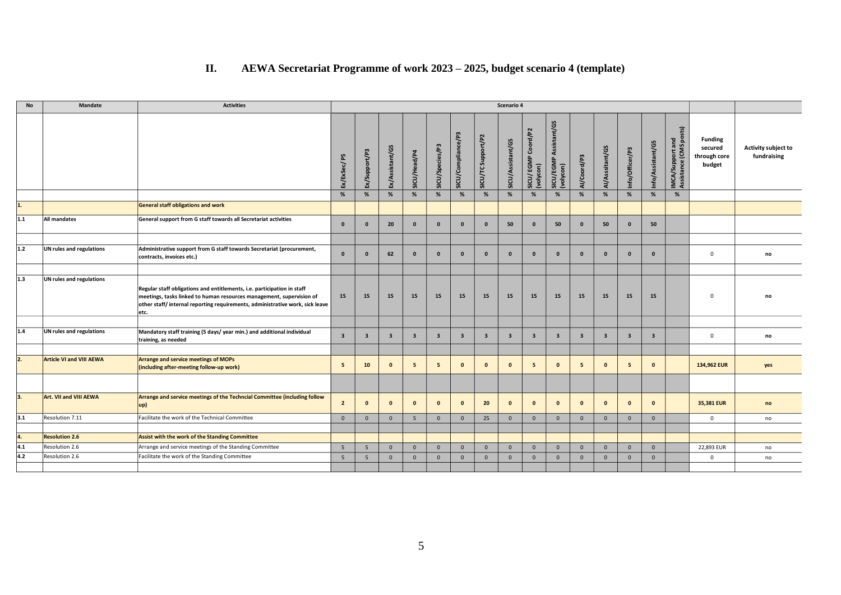## **II. AEWA Secretariat Programme of work 2023 – 2025, budget scenario 4 (template)**

| No      | <b>Mandate</b>                  | <b>Activities</b>                                                                                                                                                                                                                       |                         |                         |                         |                         |                         |                         |                         | Scenario 4              |                                            |                                     |                         |                         |                         |                         |                                                   |                                                     |                                    |
|---------|---------------------------------|-----------------------------------------------------------------------------------------------------------------------------------------------------------------------------------------------------------------------------------------|-------------------------|-------------------------|-------------------------|-------------------------|-------------------------|-------------------------|-------------------------|-------------------------|--------------------------------------------|-------------------------------------|-------------------------|-------------------------|-------------------------|-------------------------|---------------------------------------------------|-----------------------------------------------------|------------------------------------|
|         |                                 |                                                                                                                                                                                                                                         | Ex/ExSec/P5             | Ex/Support/P3           | Ex/Assistant/G5         | SICU/Head/P4            | SICU/Species/P3         | SICU/Compliance/P3      | SICU/TC Support/P2      | SICU/Assistant/G5       | Coord/P2<br>EGMP<br>(volycon)<br>(volycon) | SICU/EGMP Assistant/G5<br>(volycon) | Al/Coord/P3             | Al/Asssitant/G5         | Info/Officer/P3         | Info/Assistant/G5       | posts)<br>IMCA/Support and<br>Assistance (CMS pos | <b>Funding</b><br>secured<br>through core<br>budget | Activity subject to<br>fundraising |
|         |                                 |                                                                                                                                                                                                                                         | %                       | %                       | %                       | %                       | $\%$                    | $\%$                    | %                       | %                       | %                                          | %                                   | %                       | %                       | %                       | %                       | %                                                 |                                                     |                                    |
| 1.      |                                 | General staff obligations and work                                                                                                                                                                                                      |                         |                         |                         |                         |                         |                         |                         |                         |                                            |                                     |                         |                         |                         |                         |                                                   |                                                     |                                    |
| $1.1\,$ | <b>All mandates</b>             | General support from G staff towards all Secretariat activities                                                                                                                                                                         | $\mathbf{0}$            | $\mathbf{0}$            | 20                      | $\mathbf{0}$            | $\mathbf{0}$            | $\mathbf{0}$            | $\mathbf{0}$            | 50                      | $\mathbf{0}$                               | 50                                  | $\mathbf{0}$            | 50                      | $\mathbf{0}$            | 50                      |                                                   |                                                     |                                    |
|         |                                 |                                                                                                                                                                                                                                         |                         |                         |                         |                         |                         |                         |                         |                         |                                            |                                     |                         |                         |                         |                         |                                                   |                                                     |                                    |
| $1.2$   | UN rules and regulations        | Administrative support from G staff towards Secretariat (procurement,<br>contracts, invoices etc.)                                                                                                                                      | $\mathbf{0}$            | $\mathbf{0}$            | 62                      | $\mathbf{0}$            | $\mathbf{0}$            | $\mathbf{0}$            | $\mathbf{0}$            | $\mathbf{0}$            | $\mathbf{0}$                               | $\mathbf{0}$                        | $\Omega$                | $\mathbf{0}$            | $\mathbf{0}$            | $\mathbf{0}$            |                                                   | $\mathbf{0}$                                        | no                                 |
|         |                                 |                                                                                                                                                                                                                                         |                         |                         |                         |                         |                         |                         |                         |                         |                                            |                                     |                         |                         |                         |                         |                                                   |                                                     |                                    |
| 1.3     | UN rules and regulations        | Regular staff obligations and entitlements, i.e. participation in staff<br>meetings, tasks linked to human resources management, supervision of<br>other staff/internal reporting requirements, administrative work, sick leave<br>etc. | 15                      | 15                      | 15                      | 15                      | 15                      | 15                      | 15                      | 15                      | 15                                         | 15                                  | 15                      | 15                      | 15                      | 15                      |                                                   | $\Omega$                                            | no                                 |
|         |                                 |                                                                                                                                                                                                                                         |                         |                         |                         |                         |                         |                         |                         |                         |                                            |                                     |                         |                         |                         |                         |                                                   |                                                     |                                    |
| $1.4\,$ | UN rules and regulations        | Mandatory staff training (5 days/year min.) and additional individual<br>training, as needed                                                                                                                                            | $\overline{\mathbf{3}}$ | $\overline{\mathbf{3}}$ | $\overline{\mathbf{3}}$ | $\overline{\mathbf{3}}$ | $\overline{\mathbf{3}}$ | $\overline{\mathbf{3}}$ | $\overline{\mathbf{3}}$ | $\overline{\mathbf{3}}$ | $\overline{\mathbf{3}}$                    | $\overline{\mathbf{3}}$             | $\overline{\mathbf{3}}$ | $\overline{\mathbf{3}}$ | $\overline{\mathbf{3}}$ | $\overline{\mathbf{3}}$ |                                                   | $\mathbf 0$                                         | no                                 |
|         |                                 |                                                                                                                                                                                                                                         |                         |                         |                         |                         |                         |                         |                         |                         |                                            |                                     |                         |                         |                         |                         |                                                   |                                                     |                                    |
| 2.      | <b>Article VI and VIII AEWA</b> | Arrange and service meetings of MOPs<br>(including after-meeting follow-up work)                                                                                                                                                        | 5 <sub>5</sub>          | 10                      | $\mathbf{0}$            | 5                       | 5                       | $\mathbf{0}$            | $\mathbf{0}$            | $\mathbf{0}$            | - 5                                        | $\mathbf{0}$                        | 5                       | $\mathbf{0}$            | 5                       | $\mathbf{0}$            |                                                   | 134,962 EUR                                         | yes                                |
|         |                                 |                                                                                                                                                                                                                                         |                         |                         |                         |                         |                         |                         |                         |                         |                                            |                                     |                         |                         |                         |                         |                                                   |                                                     |                                    |
| 3.      | Art. VII and VIII AEWA          | Arrange and service meetings of the Techncial Committee (including follow<br>$ up\rangle$                                                                                                                                               | $\overline{2}$          | $\mathbf{0}$            | $\Omega$                | $\mathbf{0}$            | $\mathbf{0}$            | $\mathbf{0}$            | 20                      | $\mathbf{0}$            | $\mathbf{0}$                               | $\mathbf{0}$                        | $\Omega$                | $\mathbf{0}$            | $\mathbf{0}$            | $\mathbf{0}$            |                                                   | 35,381 EUR                                          | no                                 |
| 3.1     | Resolution 7.11                 | Facilitate the work of the Technical Committee                                                                                                                                                                                          | $\mathbf{0}$            | $\mathbf{0}$            | $\mathbf{0}$            | 5                       | $\mathbf{0}$            | $\mathbf{0}$            | 25                      | $\mathbf{0}$            | $\mathbf{0}$                               | $\mathbf{0}$                        | $\mathbf{0}$            | $\mathbf{0}$            | $\overline{0}$          | $\mathbf{0}$            |                                                   | $\mathbf 0$                                         | no                                 |
|         |                                 |                                                                                                                                                                                                                                         |                         |                         |                         |                         |                         |                         |                         |                         |                                            |                                     |                         |                         |                         |                         |                                                   |                                                     |                                    |
| 4.      | <b>Resolution 2.6</b>           | Assist with the work of the Standing Committee                                                                                                                                                                                          |                         |                         |                         |                         |                         |                         |                         |                         |                                            |                                     |                         |                         |                         |                         |                                                   |                                                     |                                    |
| 4.1     | Resolution 2.6                  | Arrange and service meetings of the Standing Committee                                                                                                                                                                                  | 5                       | $5\phantom{.0}$         | $\Omega$                | $\mathbf{0}$            | $\mathbf{0}$            | $\mathbf{0}$            | $\mathbf{0}$            | $\mathbf{0}$            | $\overline{0}$                             | $\overline{0}$                      | $\Omega$                | $\mathbf{0}$            | $\overline{0}$          | $\mathbf{0}$            |                                                   | 22,893 EUR                                          | no                                 |
| 4.2     | Resolution 2.6                  | Facilitate the work of the Standing Committee                                                                                                                                                                                           | 5                       | 5                       | $\Omega$                | $\mathbf{0}$            | $\mathbf{0}$            | $\mathbf{0}$            | $\Omega$                | $\mathbf 0$             | $\overline{0}$                             | $\mathbf{0}$                        | $\Omega$                | $\mathbf{0}$            | $\mathbf{0}$            | $\overline{0}$          |                                                   | $\mathbf{0}$                                        | no                                 |
|         |                                 |                                                                                                                                                                                                                                         |                         |                         |                         |                         |                         |                         |                         |                         |                                            |                                     |                         |                         |                         |                         |                                                   |                                                     |                                    |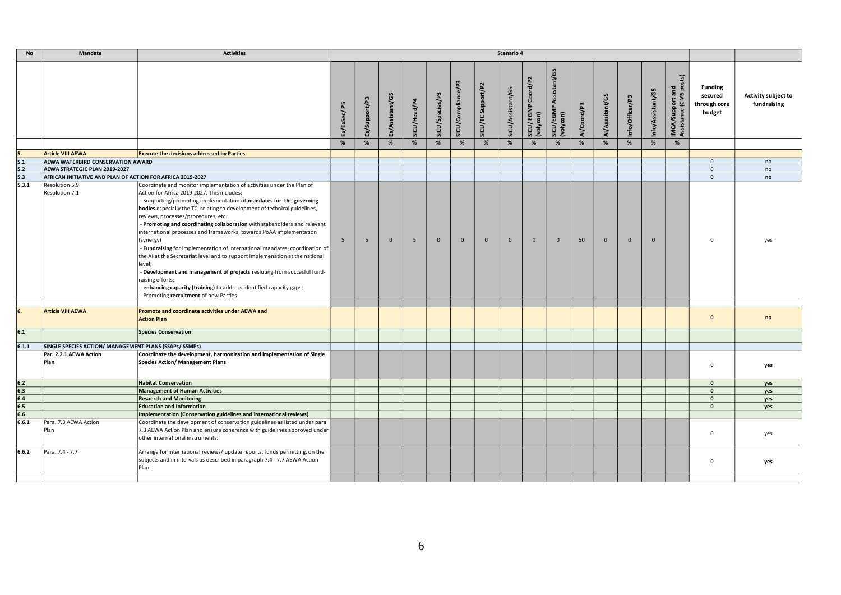| <b>No</b>                              | <b>Mandate</b>                                             | <b>Activities</b>                                                                                                                                                                                                                                                                                                                                                                                                                                                                                                                                                                                                                                                                                                                                                                                                                                                           |                |               |                 |              |                 |                    |                    | Scenario 4        |                                         |                                        |             |                 |                 |                   |                                            |                                                     |                                    |
|----------------------------------------|------------------------------------------------------------|-----------------------------------------------------------------------------------------------------------------------------------------------------------------------------------------------------------------------------------------------------------------------------------------------------------------------------------------------------------------------------------------------------------------------------------------------------------------------------------------------------------------------------------------------------------------------------------------------------------------------------------------------------------------------------------------------------------------------------------------------------------------------------------------------------------------------------------------------------------------------------|----------------|---------------|-----------------|--------------|-----------------|--------------------|--------------------|-------------------|-----------------------------------------|----------------------------------------|-------------|-----------------|-----------------|-------------------|--------------------------------------------|-----------------------------------------------------|------------------------------------|
|                                        |                                                            |                                                                                                                                                                                                                                                                                                                                                                                                                                                                                                                                                                                                                                                                                                                                                                                                                                                                             | Ex/ExSec/P5    | Ex/Support/P3 | Ex/Assistant/G5 | SICU/Head/P4 | SICU/Species/P3 | SICU/Compliance/P3 | SICU/TC Support/P2 | SICU/Assistant/G5 | EGMP Coord/P2<br>SICU/ EGN<br>(volycon) | Assistant/G5<br>SICU/EGMP<br>(volycon) | Al/Coord/P3 | Al/Asssitant/G5 | Info/Officer/P3 | Info/Assistant/G5 | IMCA/Support and<br>Assistance (CMS posts) | <b>Funding</b><br>secured<br>through core<br>budget | Activity subject to<br>fundraising |
|                                        |                                                            |                                                                                                                                                                                                                                                                                                                                                                                                                                                                                                                                                                                                                                                                                                                                                                                                                                                                             | %              | %             | %               | %            | %               | %                  | %                  | %                 | %                                       | %                                      | %           | %               | %               | %                 | %                                          |                                                     |                                    |
|                                        | <b>Article VIII AEWA</b>                                   | <b>Execute the decisions addressed by Parties</b>                                                                                                                                                                                                                                                                                                                                                                                                                                                                                                                                                                                                                                                                                                                                                                                                                           |                |               |                 |              |                 |                    |                    |                   |                                         |                                        |             |                 |                 |                   |                                            |                                                     |                                    |
| $\frac{5.}{5.1}$                       | <b>AEWA WATERBIRD CONSERVATION AWARD</b>                   |                                                                                                                                                                                                                                                                                                                                                                                                                                                                                                                                                                                                                                                                                                                                                                                                                                                                             |                |               |                 |              |                 |                    |                    |                   |                                         |                                        |             |                 |                 |                   |                                            | $\mathbf{0}$                                        | no                                 |
| $\frac{5.2}{5.3}$                      | AEWA STRATEGIC PLAN 2019-2027                              |                                                                                                                                                                                                                                                                                                                                                                                                                                                                                                                                                                                                                                                                                                                                                                                                                                                                             |                |               |                 |              |                 |                    |                    |                   |                                         |                                        |             |                 |                 |                   |                                            | $\mathbf{0}$                                        | no                                 |
|                                        | AFRICAN INITIATIVE AND PLAN OF ACTION FOR AFRICA 2019-2027 |                                                                                                                                                                                                                                                                                                                                                                                                                                                                                                                                                                                                                                                                                                                                                                                                                                                                             |                |               |                 |              |                 |                    |                    |                   |                                         |                                        |             |                 |                 |                   |                                            | $\pmb{\mathsf{o}}$                                  | no                                 |
| 5.3.1                                  | Resolution 5.9<br>Resolution 7.1                           | Coordinate and monitor implementation of activities under the Plan of<br>Action for Africa 2019-2027. This includes:<br>- Supporting/promoting implementation of mandates for the governing<br>bodies especially the TC, relating to development of technical guidelines,<br>reviews, processes/procedures, etc.<br>- Promoting and coordinating collaboration with stakeholders and relevant<br>international processes and frameworks, towards PoAA implementation<br>(synergy)<br>- Fundraising for implementation of international mandates, coordination of<br>the AI at the Secretariat level and to support implemenation at the national<br>level;<br>- Development and management of projects resluting from succesful fund-<br>raising efforts;<br>- enhancing capacity (training) to address identified capacity gaps;<br>- Promoting recruitment of new Parties | 5 <sup>5</sup> | 5             | $\Omega$        | 5            | $\Omega$        | $\Omega$           | $\Omega$           | $\Omega$          | $\Omega$                                | $\Omega$                               | 50          | $\mathbf 0$     | $\mathbf 0$     | $\Omega$          |                                            | $\Omega$                                            | yes                                |
| 6.                                     | <b>Article VIII AEWA</b>                                   | Promote and coordinate activities under AEWA and<br><b>Action Plan</b>                                                                                                                                                                                                                                                                                                                                                                                                                                                                                                                                                                                                                                                                                                                                                                                                      |                |               |                 |              |                 |                    |                    |                   |                                         |                                        |             |                 |                 |                   |                                            | $\mathbf 0$                                         | no                                 |
| 6.1                                    |                                                            | <b>Species Conservation</b>                                                                                                                                                                                                                                                                                                                                                                                                                                                                                                                                                                                                                                                                                                                                                                                                                                                 |                |               |                 |              |                 |                    |                    |                   |                                         |                                        |             |                 |                 |                   |                                            |                                                     |                                    |
| 6.1.1                                  | SINGLE SPECIES ACTION/ MANAGEMENT PLANS (SSAPs/ SSMPs)     |                                                                                                                                                                                                                                                                                                                                                                                                                                                                                                                                                                                                                                                                                                                                                                                                                                                                             |                |               |                 |              |                 |                    |                    |                   |                                         |                                        |             |                 |                 |                   |                                            |                                                     |                                    |
|                                        | Par. 2.2.1 AEWA Action<br>Plan                             | Coordinate the development, harmonization and implementation of Single<br><b>Species Action/ Management Plans</b>                                                                                                                                                                                                                                                                                                                                                                                                                                                                                                                                                                                                                                                                                                                                                           |                |               |                 |              |                 |                    |                    |                   |                                         |                                        |             |                 |                 |                   |                                            | $\mathsf 0$                                         | yes                                |
|                                        |                                                            | <b>Habitat Conservation</b>                                                                                                                                                                                                                                                                                                                                                                                                                                                                                                                                                                                                                                                                                                                                                                                                                                                 |                |               |                 |              |                 |                    |                    |                   |                                         |                                        |             |                 |                 |                   |                                            | $\mathbf{0}$                                        | yes                                |
| $\frac{6.2}{6.3}$<br>$\frac{6.4}{6.4}$ |                                                            | Management of Human Activities                                                                                                                                                                                                                                                                                                                                                                                                                                                                                                                                                                                                                                                                                                                                                                                                                                              |                |               |                 |              |                 |                    |                    |                   |                                         |                                        |             |                 |                 |                   |                                            | $\mathbf{0}$                                        | yes                                |
|                                        |                                                            | <b>Resaerch and Monitoring</b>                                                                                                                                                                                                                                                                                                                                                                                                                                                                                                                                                                                                                                                                                                                                                                                                                                              |                |               |                 |              |                 |                    |                    |                   |                                         |                                        |             |                 |                 |                   |                                            | $\mathbf{0}$                                        | yes                                |
| 6.5                                    |                                                            | <b>Education and Information</b>                                                                                                                                                                                                                                                                                                                                                                                                                                                                                                                                                                                                                                                                                                                                                                                                                                            |                |               |                 |              |                 |                    |                    |                   |                                         |                                        |             |                 |                 |                   |                                            | $\mathbf{0}$                                        | yes                                |
| 6.6                                    |                                                            | Implementation (Conservation guidelines and international reviews)                                                                                                                                                                                                                                                                                                                                                                                                                                                                                                                                                                                                                                                                                                                                                                                                          |                |               |                 |              |                 |                    |                    |                   |                                         |                                        |             |                 |                 |                   |                                            |                                                     |                                    |
| 6.6.1                                  | Para. 7.3 AEWA Action<br>Plan                              | Coordinate the development of conservation guidelines as listed under para.<br>7.3 AEWA Action Plan and ensure coherence with guidelines approved under<br>other international instruments.                                                                                                                                                                                                                                                                                                                                                                                                                                                                                                                                                                                                                                                                                 |                |               |                 |              |                 |                    |                    |                   |                                         |                                        |             |                 |                 |                   |                                            | $\mathbf 0$                                         | yes                                |
| 6.6.2                                  | Para, 7.4 - 7.7                                            | Arrange for international reviews/ update reports, funds permitting, on the<br>subjects and in intervals as described in paragraph 7.4 - 7.7 AEWA Action<br>Plan.                                                                                                                                                                                                                                                                                                                                                                                                                                                                                                                                                                                                                                                                                                           |                |               |                 |              |                 |                    |                    |                   |                                         |                                        |             |                 |                 |                   |                                            | $\mathbf 0$                                         | yes                                |
|                                        |                                                            |                                                                                                                                                                                                                                                                                                                                                                                                                                                                                                                                                                                                                                                                                                                                                                                                                                                                             |                |               |                 |              |                 |                    |                    |                   |                                         |                                        |             |                 |                 |                   |                                            |                                                     |                                    |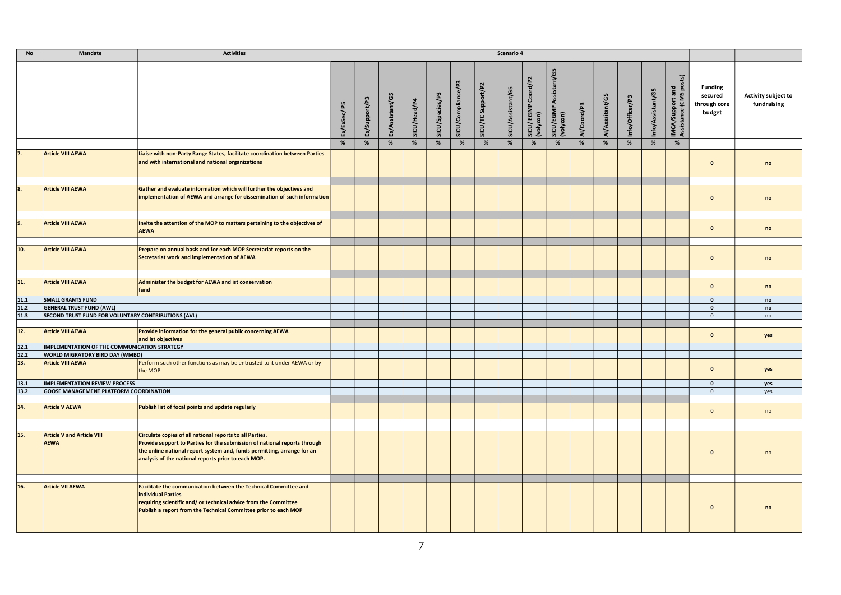| <b>No</b>         | <b>Mandate</b>                                      | <b>Activities</b>                                                                                                                                                                                                                                                       |             |               |                 |              |                 |                    |                    | Scenario 4        |                                  |                                     |             |                 |                 |                   |                                            |                                                     |                                           |
|-------------------|-----------------------------------------------------|-------------------------------------------------------------------------------------------------------------------------------------------------------------------------------------------------------------------------------------------------------------------------|-------------|---------------|-----------------|--------------|-----------------|--------------------|--------------------|-------------------|----------------------------------|-------------------------------------|-------------|-----------------|-----------------|-------------------|--------------------------------------------|-----------------------------------------------------|-------------------------------------------|
|                   |                                                     |                                                                                                                                                                                                                                                                         | Ex/ExSec/P5 | Ex/Support/P3 | Ex/Assistant/G5 | SICU/Head/P4 | SICU/Species/P3 | SICU/Compliance/P3 | SICU/TC Support/P2 | SICU/Assistant/G5 | SICU/ EGMP Coord/P2<br>(volycon) | SICU/EGMP Assistant/G5<br>(volycon) | Al/Coord/P3 | Al/Asssitant/G5 | Info/Officer/P3 | Info/Assistant/G5 | IMCA/Support and<br>Assistance (CMS posts) | <b>Funding</b><br>secured<br>through core<br>budget | <b>Activity subject to</b><br>fundraising |
|                   |                                                     |                                                                                                                                                                                                                                                                         | %           | %             | $\%$            | %            | %               | %                  | $\%$               | %                 | %                                | $\%$                                | %           | %               | %               | %                 | %                                          |                                                     |                                           |
| $\overline{7}$    | <b>Article VIII AEWA</b>                            | Liaise with non-Party Range States, facilitate coordination between Parties<br>and with international and national organizations                                                                                                                                        |             |               |                 |              |                 |                    |                    |                   |                                  |                                     |             |                 |                 |                   |                                            | $\mathbf{0}$                                        | no                                        |
| 8.                | <b>Article VIII AEWA</b>                            | Gather and evaluate information which will further the objectives and<br>implementation of AEWA and arrange for dissemination of such information                                                                                                                       |             |               |                 |              |                 |                    |                    |                   |                                  |                                     |             |                 |                 |                   |                                            | $\mathbf{0}$                                        | no                                        |
| 9.                | <b>Article VIII AEWA</b>                            | Invite the attention of the MOP to matters pertaining to the objectives of<br><b>AEWA</b>                                                                                                                                                                               |             |               |                 |              |                 |                    |                    |                   |                                  |                                     |             |                 |                 |                   |                                            | $\mathbf{0}$                                        | no                                        |
| 10.               | <b>Article VIII AEWA</b>                            | Prepare on annual basis and for each MOP Secretariat reports on the<br>Secretariat work and implementation of AEWA                                                                                                                                                      |             |               |                 |              |                 |                    |                    |                   |                                  |                                     |             |                 |                 |                   |                                            | $\mathbf{0}$                                        | no                                        |
| 11.               | <b>Article VIII AEWA</b>                            | Administer the budget for AEWA and ist conservation<br>fund                                                                                                                                                                                                             |             |               |                 |              |                 |                    |                    |                   |                                  |                                     |             |                 |                 |                   |                                            | $\mathbf{0}$                                        | no                                        |
| 11.1              | <b>SMALL GRANTS FUND</b>                            |                                                                                                                                                                                                                                                                         |             |               |                 |              |                 |                    |                    |                   |                                  |                                     |             |                 |                 |                   |                                            | $\pmb{0}$                                           | no                                        |
| 11.2              | <b>GENERAL TRUST FUND (AWL)</b>                     |                                                                                                                                                                                                                                                                         |             |               |                 |              |                 |                    |                    |                   |                                  |                                     |             |                 |                 |                   |                                            | $\pmb{\mathsf{o}}$                                  | no                                        |
| 11.3              | SECOND TRUST FUND FOR VOLUNTARY CONTRIBUTIONS (AVL) |                                                                                                                                                                                                                                                                         |             |               |                 |              |                 |                    |                    |                   |                                  |                                     |             |                 |                 |                   |                                            | $\mathbf 0$                                         | no                                        |
| 12.               | <b>Article VIII AEWA</b>                            | Provide information for the general public concerning AEWA<br>and ist objectives                                                                                                                                                                                        |             |               |                 |              |                 |                    |                    |                   |                                  |                                     |             |                 |                 |                   |                                            | $\mathbf{0}$                                        | yes                                       |
| $\overline{12.1}$ | IMPLEMENTATION OF THE COMMUNICATION STRATEGY        |                                                                                                                                                                                                                                                                         |             |               |                 |              |                 |                    |                    |                   |                                  |                                     |             |                 |                 |                   |                                            |                                                     |                                           |
| 12.2              | <b>WORLD MIGRATORY BIRD DAY (WMBD)</b>              |                                                                                                                                                                                                                                                                         |             |               |                 |              |                 |                    |                    |                   |                                  |                                     |             |                 |                 |                   |                                            |                                                     |                                           |
| 13.               | <b>Article VIII AEWA</b>                            | Perform such other functions as may be entrusted to it under AEWA or by<br>the MOP                                                                                                                                                                                      |             |               |                 |              |                 |                    |                    |                   |                                  |                                     |             |                 |                 |                   |                                            | $\mathbf{0}$                                        | yes                                       |
| 13.1              | IMPLEMENTATION REVIEW PROCESS                       |                                                                                                                                                                                                                                                                         |             |               |                 |              |                 |                    |                    |                   |                                  |                                     |             |                 |                 |                   |                                            | $\mathbf 0$                                         | yes                                       |
| 13.2              | <b>GOOSE MANAGEMENT PLATFORM COORDINATION</b>       |                                                                                                                                                                                                                                                                         |             |               |                 |              |                 |                    |                    |                   |                                  |                                     |             |                 |                 |                   |                                            | $\mathbf 0$                                         | yes                                       |
|                   |                                                     |                                                                                                                                                                                                                                                                         |             |               |                 |              |                 |                    |                    |                   |                                  |                                     |             |                 |                 |                   |                                            |                                                     |                                           |
| 14.               | <b>Article V AEWA</b>                               | Publish list of focal points and update regularly                                                                                                                                                                                                                       |             |               |                 |              |                 |                    |                    |                   |                                  |                                     |             |                 |                 |                   |                                            | $\mathbf{0}$                                        | no                                        |
|                   |                                                     |                                                                                                                                                                                                                                                                         |             |               |                 |              |                 |                    |                    |                   |                                  |                                     |             |                 |                 |                   |                                            |                                                     |                                           |
| 15.               | <b>Article V and Article VIII</b><br><b>AEWA</b>    | Circulate copies of all national reports to all Parties.<br>Provide support to Parties for the submission of national reports through<br>the online national report system and, funds permitting, arrange for an<br>analysis of the national reports prior to each MOP. |             |               |                 |              |                 |                    |                    |                   |                                  |                                     |             |                 |                 |                   |                                            | $\mathbf{0}$                                        | no                                        |
|                   |                                                     |                                                                                                                                                                                                                                                                         |             |               |                 |              |                 |                    |                    |                   |                                  |                                     |             |                 |                 |                   |                                            |                                                     |                                           |
| 16.               | <b>Article VII AEWA</b>                             | Facilitate the communication between the Technical Committee and<br>individual Parties<br>requiring scientific and/ or technical advice from the Committee<br>Publish a report from the Technical Committee prior to each MOP                                           |             |               |                 |              |                 |                    |                    |                   |                                  |                                     |             |                 |                 |                   |                                            | $\mathbf{0}$                                        | no                                        |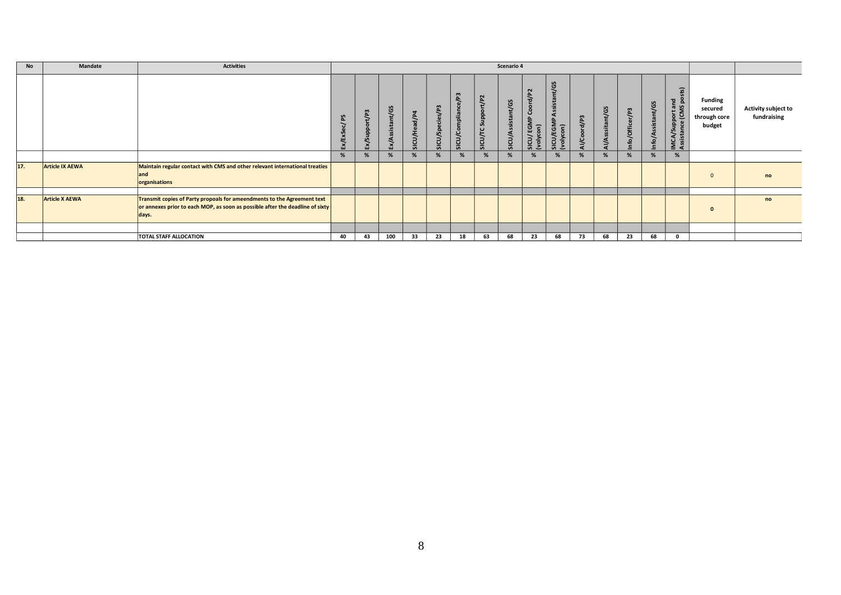| No  | Mandate                | <b>Activities</b>                                                                                                                                                 |    |                             |     |              |                    |                         |                                                                                      | Scenario 4           |                                                         |                                                                |                |                     |                 |                                         |                                                                                |                                                     |                                           |
|-----|------------------------|-------------------------------------------------------------------------------------------------------------------------------------------------------------------|----|-----------------------------|-----|--------------|--------------------|-------------------------|--------------------------------------------------------------------------------------|----------------------|---------------------------------------------------------|----------------------------------------------------------------|----------------|---------------------|-----------------|-----------------------------------------|--------------------------------------------------------------------------------|-----------------------------------------------------|-------------------------------------------|
|     |                        |                                                                                                                                                                   | LO | $\mathbf{m}$<br>5<br>Ex/Sup | ម្ង | SICU/Head/P4 | cies/P3<br>SICU/Sp | / P3<br>SICU/Compliance | $\mathbf{z}$<br>ゝ<br>$\circ$<br>윤<br>$\mathbf{z}$<br><u> ச</u><br><b>ICU/TC</b><br>ഄ | ჱ<br>Ĕ<br>SICU/Assis | d/P2<br>ਨ<br>රි<br><b>EGMP</b><br>SICU/EGN<br>(volycon) | <b>LC</b><br>O<br>sist<br>$\ddot{ }$<br>SICU/EGMF<br>(volycon) | $\overline{P}$ | ssitant/G5<br>Al/As | Info/Officer/P3 | nt/G5<br>istal<br>$\mathbf{v}$<br>fo/A: | $\widehat{a}$<br><u>_8</u><br>/Support and<br>tance (CMS po<br>IMCA,<br>Assist | <b>Funding</b><br>secured<br>through core<br>budget | <b>Activity subject to</b><br>fundraising |
|     |                        |                                                                                                                                                                   | %  | %                           |     | %            | %                  | %                       | %                                                                                    | %                    | %                                                       |                                                                | %              | %                   | %               |                                         |                                                                                |                                                     |                                           |
| 17. | <b>Article IX AEWA</b> | Maintain regular contact with CMS and other relevant international treaties<br>land<br>organisations                                                              |    |                             |     |              |                    |                         |                                                                                      |                      |                                                         |                                                                |                |                     |                 |                                         |                                                                                | $\Omega$                                            | no                                        |
|     |                        |                                                                                                                                                                   |    |                             |     |              |                    |                         |                                                                                      |                      |                                                         |                                                                |                |                     |                 |                                         |                                                                                |                                                     |                                           |
| 18. | <b>Article X AEWA</b>  | Transmit copies of Party propoals for ameendments to the Agreement text<br>or annexes prior to each MOP, as soon as possible after the deadline of sixty<br>days. |    |                             |     |              |                    |                         |                                                                                      |                      |                                                         |                                                                |                |                     |                 |                                         |                                                                                | $\Omega$                                            | no                                        |
|     |                        |                                                                                                                                                                   |    |                             |     |              |                    |                         |                                                                                      |                      |                                                         |                                                                |                |                     |                 |                                         |                                                                                |                                                     |                                           |
|     |                        | <b>TOTAL STAFF ALLOCATION</b>                                                                                                                                     | 40 | 43                          | 100 | 33           | 23                 | 18                      | 63                                                                                   | 68                   | 23                                                      | 68                                                             | 73             | 68                  | 23              | 68                                      |                                                                                |                                                     |                                           |